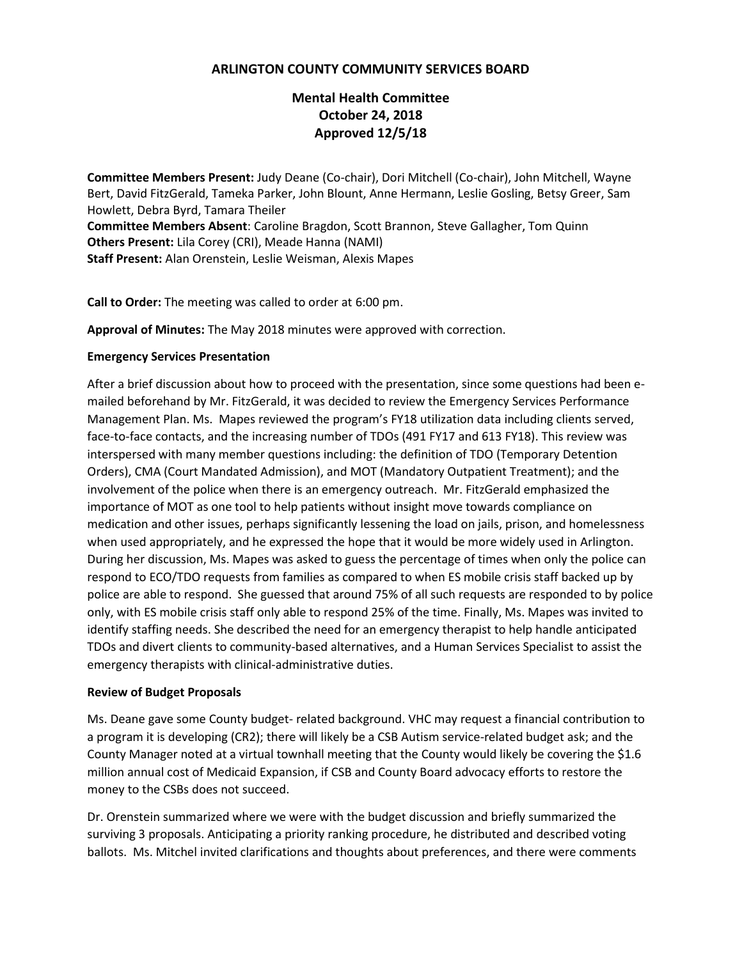## **ARLINGTON COUNTY COMMUNITY SERVICES BOARD**

# **Mental Health Committee October 24, 2018 Approved 12/5/18**

**Committee Members Present:** Judy Deane (Co-chair), Dori Mitchell (Co-chair), John Mitchell, Wayne Bert, David FitzGerald, Tameka Parker, John Blount, Anne Hermann, Leslie Gosling, Betsy Greer, Sam Howlett, Debra Byrd, Tamara Theiler **Committee Members Absent**: Caroline Bragdon, Scott Brannon, Steve Gallagher, Tom Quinn **Others Present:** Lila Corey (CRI), Meade Hanna (NAMI) **Staff Present:** Alan Orenstein, Leslie Weisman, Alexis Mapes

**Call to Order:** The meeting was called to order at 6:00 pm.

**Approval of Minutes:** The May 2018 minutes were approved with correction.

#### **Emergency Services Presentation**

After a brief discussion about how to proceed with the presentation, since some questions had been emailed beforehand by Mr. FitzGerald, it was decided to review the Emergency Services Performance Management Plan. Ms. Mapes reviewed the program's FY18 utilization data including clients served, face-to-face contacts, and the increasing number of TDOs (491 FY17 and 613 FY18). This review was interspersed with many member questions including: the definition of TDO (Temporary Detention Orders), CMA (Court Mandated Admission), and MOT (Mandatory Outpatient Treatment); and the involvement of the police when there is an emergency outreach. Mr. FitzGerald emphasized the importance of MOT as one tool to help patients without insight move towards compliance on medication and other issues, perhaps significantly lessening the load on jails, prison, and homelessness when used appropriately, and he expressed the hope that it would be more widely used in Arlington. During her discussion, Ms. Mapes was asked to guess the percentage of times when only the police can respond to ECO/TDO requests from families as compared to when ES mobile crisis staff backed up by police are able to respond. She guessed that around 75% of all such requests are responded to by police only, with ES mobile crisis staff only able to respond 25% of the time. Finally, Ms. Mapes was invited to identify staffing needs. She described the need for an emergency therapist to help handle anticipated TDOs and divert clients to community-based alternatives, and a Human Services Specialist to assist the emergency therapists with clinical-administrative duties.

### **Review of Budget Proposals**

Ms. Deane gave some County budget- related background. VHC may request a financial contribution to a program it is developing (CR2); there will likely be a CSB Autism service-related budget ask; and the County Manager noted at a virtual townhall meeting that the County would likely be covering the \$1.6 million annual cost of Medicaid Expansion, if CSB and County Board advocacy efforts to restore the money to the CSBs does not succeed.

Dr. Orenstein summarized where we were with the budget discussion and briefly summarized the surviving 3 proposals. Anticipating a priority ranking procedure, he distributed and described voting ballots. Ms. Mitchel invited clarifications and thoughts about preferences, and there were comments